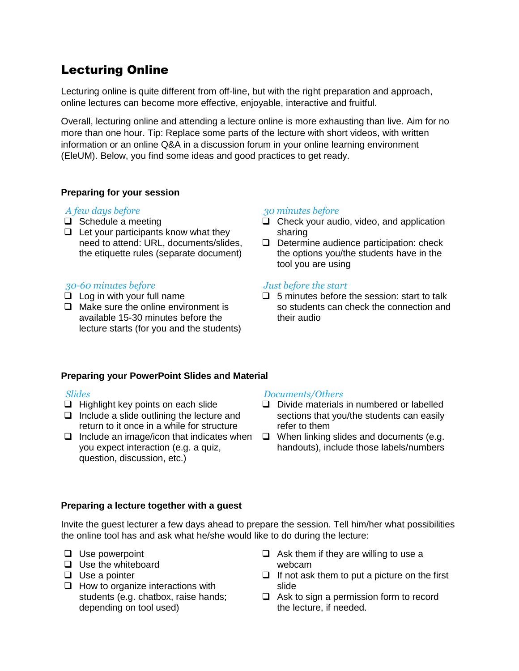# Lecturing Online

Lecturing online is quite different from off-line, but with the right preparation and approach, online lectures can become more effective, enjoyable, interactive and fruitful.

Overall, lecturing online and attending a lecture online is more exhausting than live. Aim for no more than one hour. Tip: Replace some parts of the lecture with short videos, with written information or an online Q&A in a discussion forum in your online learning environment (EleUM). Below, you find some ideas and good practices to get ready.

# **Preparing for your session**

#### *A few days before*

- $\Box$  Schedule a meeting
- $\Box$  Let your participants know what they need to attend: URL, documents/slides, the etiquette rules (separate document)

#### *30-60 minutes before*

- $\Box$  Log in with your full name
- $\Box$  Make sure the online environment is available 15-30 minutes before the lecture starts (for you and the students)

#### *30 minutes before*

- $\Box$  Check your audio, video, and application sharing
- $\Box$  Determine audience participation: check the options you/the students have in the tool you are using

#### *Just before the start*

 $\Box$  5 minutes before the session: start to talk so students can check the connection and their audio

#### **Preparing your PowerPoint Slides and Material**

#### *Slides*

- $\Box$  Highlight key points on each slide
- $\Box$  Include a slide outlining the lecture and return to it once in a while for structure
- $\Box$  Include an image/icon that indicates when you expect interaction (e.g. a quiz, question, discussion, etc.)

#### *Documents/Others*

- Divide materials in numbered or labelled sections that you/the students can easily refer to them
- $\Box$  When linking slides and documents (e.g. handouts), include those labels/numbers

#### **Preparing a lecture together with a guest**

Invite the guest lecturer a few days ahead to prepare the session. Tell him/her what possibilities the online tool has and ask what he/she would like to do during the lecture:

- $\Box$  Use powerpoint
- $\Box$  Use the whiteboard
- $\Box$  Use a pointer
- $\Box$  How to organize interactions with students (e.g. chatbox, raise hands; depending on tool used)
- $\Box$  Ask them if they are willing to use a webcam
- $\Box$  If not ask them to put a picture on the first slide
- $\Box$  Ask to sign a permission form to record the lecture, if needed.